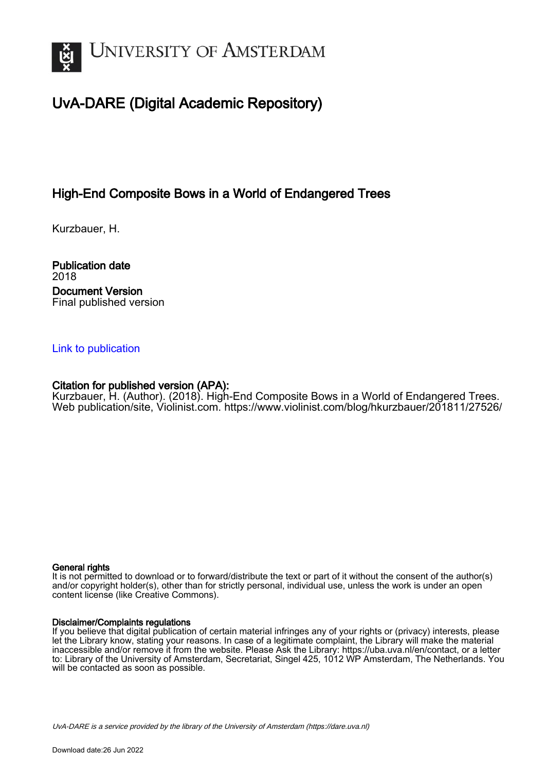

# UvA-DARE (Digital Academic Repository)

# High-End Composite Bows in a World of Endangered Trees

Kurzbauer, H.

Publication date 2018 Document Version Final published version

## [Link to publication](https://dare.uva.nl/personal/pure/en/publications/highend-composite-bows-in-a-world-of-endangered-trees(a09ce5b3-f4b6-4e2d-9650-493d38e85862).html)

## Citation for published version (APA):

Kurzbauer, H. (Author). (2018). High-End Composite Bows in a World of Endangered Trees. Web publication/site, Violinist.com. <https://www.violinist.com/blog/hkurzbauer/201811/27526/>

#### General rights

It is not permitted to download or to forward/distribute the text or part of it without the consent of the author(s) and/or copyright holder(s), other than for strictly personal, individual use, unless the work is under an open content license (like Creative Commons).

#### Disclaimer/Complaints regulations

If you believe that digital publication of certain material infringes any of your rights or (privacy) interests, please let the Library know, stating your reasons. In case of a legitimate complaint, the Library will make the material inaccessible and/or remove it from the website. Please Ask the Library: https://uba.uva.nl/en/contact, or a letter to: Library of the University of Amsterdam, Secretariat, Singel 425, 1012 WP Amsterdam, The Netherlands. You will be contacted as soon as possible.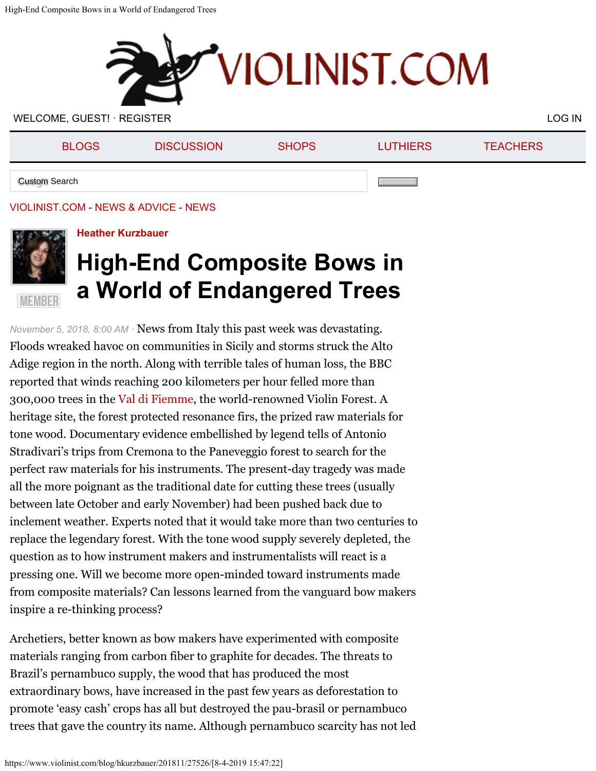

WELCOME, GUEST! · [REGISTER](https://www.violinist.com/directory/registration.cfm) [LOG IN](https://www.violinist.com/directory/login.cfm) A SERIES AND LOG IN A SERIES AND LOG IN A SERIES AND LOG IN A SERIES AND LOG IN

| <b>BLOGS</b>         | <b>DISCUSSION</b> | <b>SHOPS</b> | <b>LUTHIERS</b> | <b>TEACHERS</b> |
|----------------------|-------------------|--------------|-----------------|-----------------|
| <b>Custom Search</b> |                   |              |                 |                 |

## [VIOLINIST.COM](https://www.violinist.com/) - [NEWS & ADVICE](https://www.violinist.com/blog/) - [NEWS](https://www.violinist.com/news/)



## **[Heather Kurzbauer](https://www.violinist.com/directory/bio.cfm?member=hkurzbauer)**

# **High-End Composite Bows in a World of Endangered Trees**

*November 5, 2018, 8:00 AM ·* News from Italy this past week was devastating. Floods wreaked havoc on communities in Sicily and storms struck the Alto Adige region in the north. Along with terrible tales of human loss, the BBC reported that winds reaching 200 kilometers per hour felled more than 300,000 trees in the [Val di Fiemme](https://www.visittrentino.info/en/articles/snow-and-nature/violin-s-forest), the world-renowned Violin Forest. A heritage site, the forest protected resonance firs, the prized raw materials for tone wood. Documentary evidence embellished by legend tells of Antonio Stradivari's trips from Cremona to the Paneveggio forest to search for the perfect raw materials for his instruments. The present-day tragedy was made all the more poignant as the traditional date for cutting these trees (usually between late October and early November) had been pushed back due to inclement weather. Experts noted that it would take more than two centuries to replace the legendary forest. With the tone wood supply severely depleted, the question as to how instrument makers and instrumentalists will react is a pressing one. Will we become more open-minded toward instruments made from composite materials? Can lessons learned from the vanguard bow makers inspire a re-thinking process?

Archetiers, better known as bow makers have experimented with composite materials ranging from carbon fiber to graphite for decades. The threats to Brazil's pernambuco supply, the wood that has produced the most extraordinary bows, have increased in the past few years as deforestation to promote 'easy cash' crops has all but destroyed the pau-brasil or pernambuco trees that gave the country its name. Although pernambuco scarcity has not led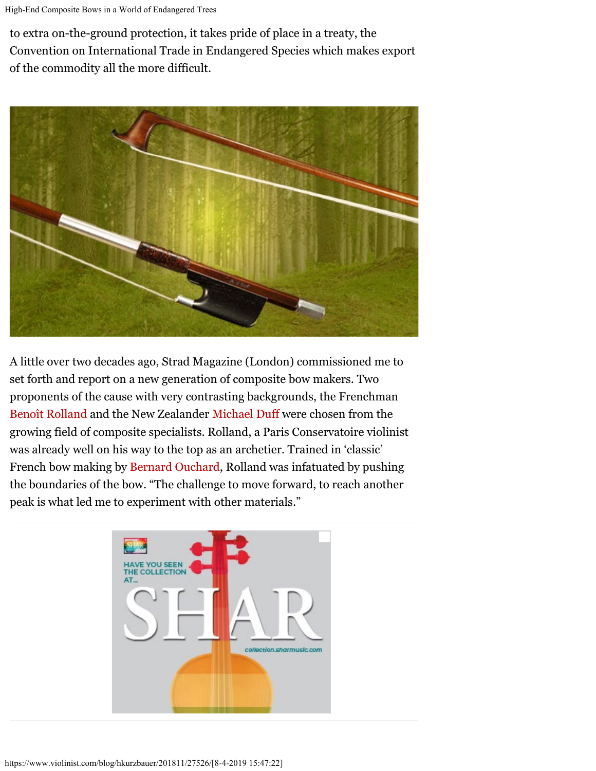to extra on-the-ground protection, it takes pride of place in a treaty, the Convention on International Trade in Endangered Species which makes export of the commodity all the more difficult.



A little over two decades ago, Strad Magazine (London) commissioned me to set forth and report on a new generation of composite bow makers. Two proponents of the cause with very contrasting backgrounds, the Frenchman [Benoît Rolland](http://www.benoitrolland.com/) and the New Zealander [Michael Duff](https://www.bergbows.com/bowmaker.html) were chosen from the growing field of composite specialists. Rolland, a Paris Conservatoire violinist was already well on his way to the top as an archetier. Trained in 'classic' French bow making by [Bernard Ouchard](https://en.wikipedia.org/wiki/Bernard_Ouchard), Rolland was infatuated by pushing the boundaries of the bow. "The challenge to move forward, to reach another peak is what led me to experiment with other materials."

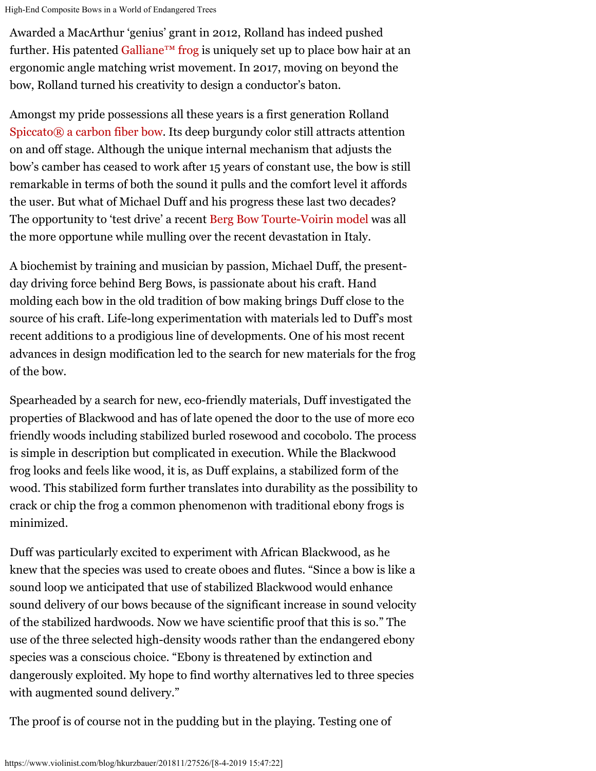High-End Composite Bows in a World of Endangered Trees

Awarded a MacArthur 'genius' grant in 2012, Rolland has indeed pushed further. His patented Galliane<sup>™</sup> frog is uniquely set up to place bow hair at an ergonomic angle matching wrist movement. In 2017, moving on beyond the bow, Rolland turned his creativity to design a conductor's baton.

Amongst my pride possessions all these years is a first generation Rolland [Spiccato® a carbon fiber bow](http://www.benoitrolland.com/spiccato1.php). Its deep burgundy color still attracts attention on and off stage. Although the unique internal mechanism that adjusts the bow's camber has ceased to work after 15 years of constant use, the bow is still remarkable in terms of both the sound it pulls and the comfort level it affords the user. But what of Michael Duff and his progress these last two decades? The opportunity to 'test drive' a recent [Berg Bow Tourte-Voirin model](https://www.bergbows.com/tourte-voirin1.html) was all the more opportune while mulling over the recent devastation in Italy.

A biochemist by training and musician by passion, Michael Duff, the presentday driving force behind Berg Bows, is passionate about his craft. Hand molding each bow in the old tradition of bow making brings Duff close to the source of his craft. Life-long experimentation with materials led to Duff's most recent additions to a prodigious line of developments. One of his most recent advances in design modification led to the search for new materials for the frog of the bow.

Spearheaded by a search for new, eco-friendly materials, Duff investigated the properties of Blackwood and has of late opened the door to the use of more eco friendly woods including stabilized burled rosewood and cocobolo. The process is simple in description but complicated in execution. While the Blackwood frog looks and feels like wood, it is, as Duff explains, a stabilized form of the wood. This stabilized form further translates into durability as the possibility to crack or chip the frog a common phenomenon with traditional ebony frogs is minimized.

Duff was particularly excited to experiment with African Blackwood, as he knew that the species was used to create oboes and flutes. "Since a bow is like a sound loop we anticipated that use of stabilized Blackwood would enhance sound delivery of our bows because of the significant increase in sound velocity of the stabilized hardwoods. Now we have scientific proof that this is so." The use of the three selected high-density woods rather than the endangered ebony species was a conscious choice. "Ebony is threatened by extinction and dangerously exploited. My hope to find worthy alternatives led to three species with augmented sound delivery."

The proof is of course not in the pudding but in the playing. Testing one of